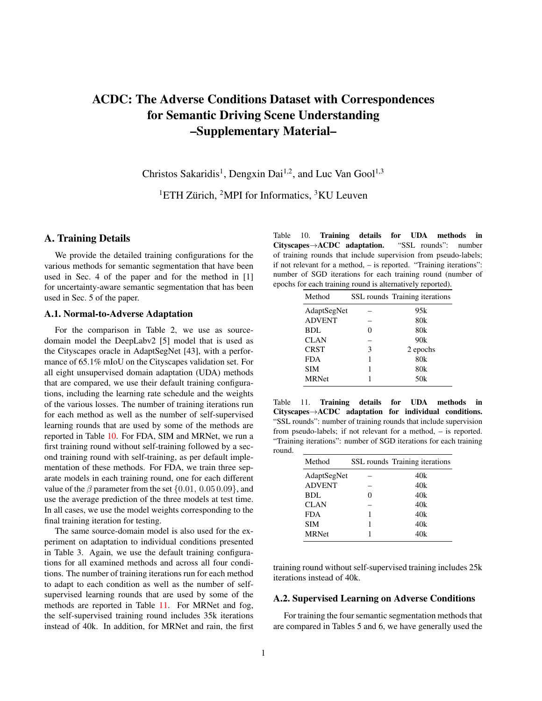# ACDC: The Adverse Conditions Dataset with Correspondences for Semantic Driving Scene Understanding –Supplementary Material–

Christos Sakaridis<sup>1</sup>, Dengxin Dai<sup>1,2</sup>, and Luc Van Gool<sup>1,3</sup>

<sup>1</sup>ETH Zürich, <sup>2</sup>MPI for Informatics, <sup>3</sup>KU Leuven

# A. Training Details

We provide the detailed training configurations for the various methods for semantic segmentation that have been used in Sec. 4 of the paper and for the method in [1] for uncertainty-aware semantic segmentation that has been used in Sec. 5 of the paper.

#### A.1. Normal-to-Adverse Adaptation

For the comparison in Table 2, we use as sourcedomain model the DeepLabv2 [5] model that is used as the Cityscapes oracle in AdaptSegNet [43], with a performance of 65.1% mIoU on the Cityscapes validation set. For all eight unsupervised domain adaptation (UDA) methods that are compared, we use their default training configurations, including the learning rate schedule and the weights of the various losses. The number of training iterations run for each method as well as the number of self-supervised learning rounds that are used by some of the methods are reported in Table [10.](#page-0-0) For FDA, SIM and MRNet, we run a first training round without self-training followed by a second training round with self-training, as per default implementation of these methods. For FDA, we train three separate models in each training round, one for each different value of the  $\beta$  parameter from the set  $\{0.01, 0.05, 0.09\}$ , and use the average prediction of the three models at test time. In all cases, we use the model weights corresponding to the final training iteration for testing.

The same source-domain model is also used for the experiment on adaptation to individual conditions presented in Table 3. Again, we use the default training configurations for all examined methods and across all four conditions. The number of training iterations run for each method to adapt to each condition as well as the number of selfsupervised learning rounds that are used by some of the methods are reported in Table [11.](#page-0-1) For MRNet and fog, the self-supervised training round includes 35k iterations instead of 40k. In addition, for MRNet and rain, the first

<span id="page-0-0"></span>Table 10. Training details for UDA methods in Cityscapes→ACDC adaptation. "SSL rounds": number of training rounds that include supervision from pseudo-labels; if not relevant for a method, – is reported. "Training iterations": number of SGD iterations for each training round (number of epochs for each training round is alternatively reported).

| Method        |   | SSL rounds Training iterations |
|---------------|---|--------------------------------|
| AdaptSegNet   |   | 95k                            |
| <b>ADVENT</b> |   | 80 <sub>k</sub>                |
| BDL           |   | 80 <sub>k</sub>                |
| <b>CLAN</b>   |   | 90k                            |
| <b>CRST</b>   | 3 | 2 epochs                       |
| <b>FDA</b>    |   | 80 <sub>k</sub>                |
| SIM           |   | 80k                            |
| <b>MRNet</b>  |   | 50k                            |
|               |   |                                |

<span id="page-0-1"></span>Table 11. Training details for UDA methods in Cityscapes→ACDC adaptation for individual conditions. "SSL rounds": number of training rounds that include supervision from pseudo-labels; if not relevant for a method, – is reported. "Training iterations": number of SGD iterations for each training round.

| Method        | SSL rounds Training iterations |
|---------------|--------------------------------|
| AdaptSegNet   | 40k                            |
| <b>ADVENT</b> | 40k                            |
| BDL           | 40k                            |
| <b>CLAN</b>   | 40k                            |
| <b>FDA</b>    | 40k                            |
| <b>SIM</b>    | 40k                            |
| <b>MRNet</b>  | 40k                            |
|               |                                |

training round without self-supervised training includes 25k iterations instead of 40k.

### A.2. Supervised Learning on Adverse Conditions

For training the four semantic segmentation methods that are compared in Tables 5 and 6, we have generally used the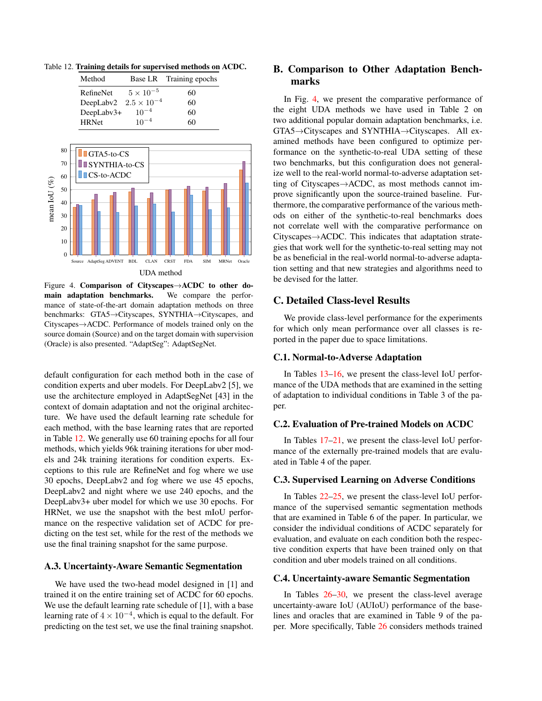

<span id="page-1-0"></span>Table 12. Training details for supervised methods on ACDC.

<span id="page-1-1"></span>Figure 4. Comparison of Cityscapes→ACDC to other domain adaptation benchmarks. We compare the performance of state-of-the-art domain adaptation methods on three benchmarks: GTA5→Cityscapes, SYNTHIA→Cityscapes, and Cityscapes→ACDC. Performance of models trained only on the source domain (Source) and on the target domain with supervision (Oracle) is also presented. "AdaptSeg": AdaptSegNet.

default configuration for each method both in the case of condition experts and uber models. For DeepLabv2 [5], we use the architecture employed in AdaptSegNet [43] in the context of domain adaptation and not the original architecture. We have used the default learning rate schedule for each method, with the base learning rates that are reported in Table [12.](#page-1-0) We generally use 60 training epochs for all four methods, which yields 96k training iterations for uber models and 24k training iterations for condition experts. Exceptions to this rule are RefineNet and fog where we use 30 epochs, DeepLabv2 and fog where we use 45 epochs, DeepLabv2 and night where we use 240 epochs, and the DeepLabv3+ uber model for which we use 30 epochs. For HRNet, we use the snapshot with the best mIoU performance on the respective validation set of ACDC for predicting on the test set, while for the rest of the methods we use the final training snapshot for the same purpose.

#### A.3. Uncertainty-Aware Semantic Segmentation

We have used the two-head model designed in [1] and trained it on the entire training set of ACDC for 60 epochs. We use the default learning rate schedule of [1], with a base learning rate of  $4 \times 10^{-4}$ , which is equal to the default. For predicting on the test set, we use the final training snapshot.

# B. Comparison to Other Adaptation Benchmarks

In Fig. [4,](#page-1-1) we present the comparative performance of the eight UDA methods we have used in Table 2 on two additional popular domain adaptation benchmarks, i.e. GTA5→Cityscapes and SYNTHIA→Cityscapes. All examined methods have been configured to optimize performance on the synthetic-to-real UDA setting of these two benchmarks, but this configuration does not generalize well to the real-world normal-to-adverse adaptation setting of Cityscapes→ACDC, as most methods cannot improve significantly upon the source-trained baseline. Furthermore, the comparative performance of the various methods on either of the synthetic-to-real benchmarks does not correlate well with the comparative performance on Cityscapes→ACDC. This indicates that adaptation strategies that work well for the synthetic-to-real setting may not be as beneficial in the real-world normal-to-adverse adaptation setting and that new strategies and algorithms need to be devised for the latter.

#### C. Detailed Class-level Results

We provide class-level performance for the experiments for which only mean performance over all classes is reported in the paper due to space limitations.

#### C.1. Normal-to-Adverse Adaptation

In Tables [13](#page-2-0)[–16,](#page-3-0) we present the class-level IoU performance of the UDA methods that are examined in the setting of adaptation to individual conditions in Table 3 of the paper.

#### C.2. Evaluation of Pre-trained Models on ACDC

In Tables [17](#page-3-1)[–21,](#page-4-0) we present the class-level IoU performance of the externally pre-trained models that are evaluated in Table 4 of the paper.

#### C.3. Supervised Learning on Adverse Conditions

In Tables [22](#page-5-0)[–25,](#page-5-1) we present the class-level IoU performance of the supervised semantic segmentation methods that are examined in Table 6 of the paper. In particular, we consider the individual conditions of ACDC separately for evaluation, and evaluate on each condition both the respective condition experts that have been trained only on that condition and uber models trained on all conditions.

#### C.4. Uncertainty-aware Semantic Segmentation

In Tables  $26-30$  $26-30$ , we present the class-level average uncertainty-aware IoU (AUIoU) performance of the baselines and oracles that are examined in Table 9 of the paper. More specifically, Table [26](#page-6-0) considers methods trained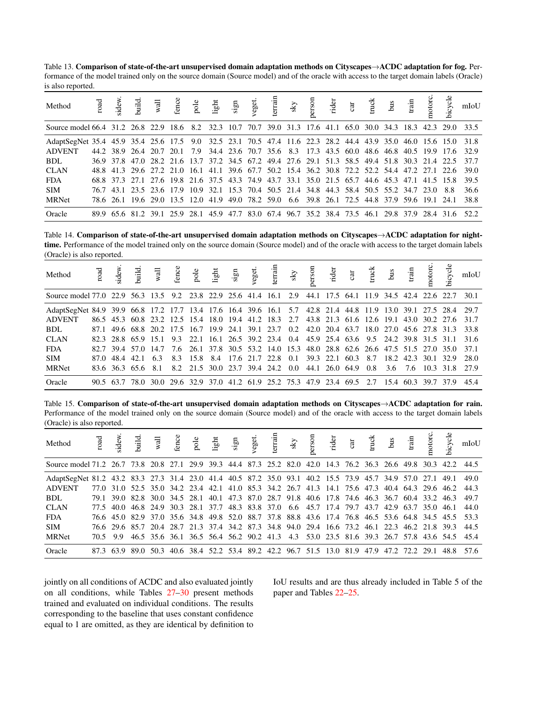<span id="page-2-0"></span>Table 13. Comparison of state-of-the-art unsupervised domain adaptation methods on Cityscapes→ACDC adaptation for fog. Performance of the model trained only on the source domain (Source model) and of the oracle with access to the target domain labels (Oracle) is also reported.

| Method                                                                                                          |  |  |                                                                                               |  |  |  |  |  |  |  | mIoU                                                                                                |
|-----------------------------------------------------------------------------------------------------------------|--|--|-----------------------------------------------------------------------------------------------|--|--|--|--|--|--|--|-----------------------------------------------------------------------------------------------------|
| Source model 66.4 31.2 26.8 22.9 18.6 8.2 32.3 10.7 70.7 39.0 31.3 17.6 41.1 65.0 30.0 34.3 18.3 42.3 29.0 33.5 |  |  |                                                                                               |  |  |  |  |  |  |  |                                                                                                     |
| AdaptSegNet 35.4 45.9 35.4 25.6 17.5 9.0 32.5 23.1 70.5 47.4 11.6 22.3 28.2 44.4 43.9 35.0 46.0 15.6 15.0 31.8  |  |  |                                                                                               |  |  |  |  |  |  |  |                                                                                                     |
| <b>ADVENT</b>                                                                                                   |  |  |                                                                                               |  |  |  |  |  |  |  | 44.2 38.9 26.4 20.7 20.1 7.9 34.4 23.6 70.7 35.6 8.3 17.3 43.5 60.0 48.6 46.8 40.5 19.9 17.6 32.9   |
| BDL.                                                                                                            |  |  |                                                                                               |  |  |  |  |  |  |  | 36.9 37.8 47.0 28.2 21.6 13.7 37.2 34.5 67.2 49.4 27.6 29.1 51.3 58.5 49.4 51.8 30.3 21.4 22.5 37.7 |
| <b>CLAN</b>                                                                                                     |  |  |                                                                                               |  |  |  |  |  |  |  | 48.8 41.3 29.6 27.2 21.0 16.1 41.1 39.6 67.7 50.2 15.4 36.2 30.8 72.2 52.2 54.4 47.2 27.1 22.6 39.0 |
| <b>FDA</b>                                                                                                      |  |  |                                                                                               |  |  |  |  |  |  |  | 68.8 37.3 27.1 27.6 19.8 21.6 37.5 43.3 74.9 43.7 33.1 35.0 21.5 65.7 44.6 45.3 47.1 41.5 15.8 39.5 |
| <b>SIM</b>                                                                                                      |  |  | 76.7 43.1 23.5 23.6 17.9 10.9 32.1 15.3 70.4 50.5 21.4 34.8 44.3 58.4 50.5 55.2 34.7 23.0 8.8 |  |  |  |  |  |  |  | 36.6                                                                                                |
| <b>MRNet</b>                                                                                                    |  |  | 78.6 26.1 19.6 29.0 13.5 12.0 41.9 49.0 78.2 59.0 6.6 39.8 26.1 72.5 44.8 37.9 59.6 19.1 24.1 |  |  |  |  |  |  |  | 38.8                                                                                                |
| Oracle                                                                                                          |  |  |                                                                                               |  |  |  |  |  |  |  | 89.9 65.6 81.2 39.1 25.9 28.1 45.9 47.7 83.0 67.4 96.7 35.2 38.4 73.5 46.1 29.8 37.9 28.4 31.6 52.2 |

Table 14. Comparison of state-of-the-art unsupervised domain adaptation methods on Cityscapes→ACDC adaptation for nighttime. Performance of the model trained only on the source domain (Source model) and of the oracle with access to the target domain labels (Oracle) is also reported.

| Method                                                                                                         |  | road<br>sidew.<br>build.<br>wall ence the signal signal signal signal signal signal signal signal signal signal signal signal signal signal signal signal signal signal signal signal signal signal signal signal signal signal signal |  |  |  |  |  |                                                    |  |                | bicycle | mIoU                                                                                               |
|----------------------------------------------------------------------------------------------------------------|--|----------------------------------------------------------------------------------------------------------------------------------------------------------------------------------------------------------------------------------------|--|--|--|--|--|----------------------------------------------------|--|----------------|---------|----------------------------------------------------------------------------------------------------|
| Source model 77.0 22.9 56.3 13.5 9.2 23.8 22.9 25.6 41.4 16.1 2.9 44.1 17.5 64.1 11.9 34.5 42.4 22.6 22.7 30.1 |  |                                                                                                                                                                                                                                        |  |  |  |  |  |                                                    |  |                |         |                                                                                                    |
| AdaptSegNet 84.9 39.9 66.8 17.2 17.7 13.4 17.6 16.4 39.6 16.1 5.7 42.8 21.4 44.8 11.9 13.0 39.1 27.5 28.4 29.7 |  |                                                                                                                                                                                                                                        |  |  |  |  |  |                                                    |  |                |         |                                                                                                    |
| <b>ADVENT</b>                                                                                                  |  |                                                                                                                                                                                                                                        |  |  |  |  |  |                                                    |  |                |         | 86.5 45.3 60.8 23.2 12.5 15.4 18.0 19.4 41.2 18.3 2.7 43.8 21.3 61.6 12.6 19.1 43.0 30.2 27.6 31.7 |
| <b>BDL</b>                                                                                                     |  |                                                                                                                                                                                                                                        |  |  |  |  |  |                                                    |  |                |         | 87.1 49.6 68.8 20.2 17.5 16.7 19.9 24.1 39.1 23.7 0.2 42.0 20.4 63.7 18.0 27.0 45.6 27.8 31.3 33.8 |
| <b>CLAN</b>                                                                                                    |  |                                                                                                                                                                                                                                        |  |  |  |  |  |                                                    |  |                |         | 82.3 28.8 65.9 15.1 9.3 22.1 16.1 26.5 39.2 23.4 0.4 45.9 25.4 63.6 9.5 24.2 39.8 31.5 31.1 31.6   |
| <b>FDA</b>                                                                                                     |  | 82.7 39.4 57.0 14.7 7.6 26.1 37.8 30.5 53.2 14.0 15.3 48.0 28.8 62.6 26.6 47.5 51.5 27.0 35.0 37.1                                                                                                                                     |  |  |  |  |  |                                                    |  |                |         |                                                                                                    |
| <b>SIM</b>                                                                                                     |  | 87.0 48.4 42.1 6.3                                                                                                                                                                                                                     |  |  |  |  |  | 8.3 15.8 8.4 17.6 21.7 22.8 0.1 39.3 22.1 60.3 8.7 |  | 18.2 42.3 30.1 | 32.9    | 28.0                                                                                               |
| <b>MRNet</b>                                                                                                   |  |                                                                                                                                                                                                                                        |  |  |  |  |  |                                                    |  |                |         | 83.6 36.3 65.6 8.1 8.2 21.5 30.0 23.7 39.4 24.2 0.0 44.1 26.0 64.9 0.8 3.6 7.6 10.3 31.8 27.9      |
| Oracle                                                                                                         |  |                                                                                                                                                                                                                                        |  |  |  |  |  |                                                    |  |                |         | 90.5 63.7 78.0 30.0 29.6 32.9 37.0 41.2 61.9 25.2 75.3 47.9 23.4 69.5 2.7 15.4 60.3 39.7 37.9 45.4 |

Table 15. Comparison of state-of-the-art unsupervised domain adaptation methods on Cityscapes→ACDC adaptation for rain. Performance of the model trained only on the source domain (Source model) and of the oracle with access to the target domain labels (Oracle) is also reported.

| Method                                                                                                           |          |  |  |  |  |  |  |  |                                                                                                | bicycle | mIoU                                                                                                |
|------------------------------------------------------------------------------------------------------------------|----------|--|--|--|--|--|--|--|------------------------------------------------------------------------------------------------|---------|-----------------------------------------------------------------------------------------------------|
| Source model 71.2 26.7 73.8 20.8 27.1 29.9 39.3 44.4 87.3 25.2 82.0 42.0 14.3 76.2 36.3 26.6 49.8 30.3 42.2 44.5 |          |  |  |  |  |  |  |  |                                                                                                |         |                                                                                                     |
| AdaptSegNet 81.2 43.2 83.3 27.3 31.4 23.0 41.4 40.5 87.2 35.0 93.1 40.2 15.5 73.9 45.7 34.9 57.0 27.1 49.1       |          |  |  |  |  |  |  |  |                                                                                                |         | 49.0                                                                                                |
| <b>ADVENT</b>                                                                                                    |          |  |  |  |  |  |  |  | 77.0 31.0 52.5 35.0 34.2 23.4 42.1 41.0 85.3 34.2 26.7 41.3 14.1 75.6 47.3 40.4 64.3 29.6 46.2 |         | 44.3                                                                                                |
| BDL.                                                                                                             |          |  |  |  |  |  |  |  |                                                                                                |         | 79.1 39.0 82.8 30.0 34.5 28.1 40.1 47.3 87.0 28.7 91.8 40.6 17.8 74.6 46.3 36.7 60.4 33.2 46.3 49.7 |
| <b>CLAN</b>                                                                                                      |          |  |  |  |  |  |  |  | 77.5 40.0 46.8 24.9 30.3 28.1 37.7 48.3 83.8 37.0 6.6 45.7 17.4 79.7 43.7 42.9 63.7 35.0 46.1  |         | 44.0                                                                                                |
| <b>FDA</b>                                                                                                       |          |  |  |  |  |  |  |  |                                                                                                |         | 76.6 45.0 82.9 37.0 35.6 34.8 49.8 52.0 88.7 37.8 88.8 43.6 17.4 76.8 46.5 53.6 64.8 34.5 45.5 53.3 |
| <b>SIM</b>                                                                                                       |          |  |  |  |  |  |  |  |                                                                                                |         | 76.6 29.6 85.7 20.4 28.7 21.3 37.4 34.2 87.3 34.8 94.0 29.4 16.6 73.2 46.1 22.3 46.2 21.8 39.3 44.5 |
| <b>MRNet</b>                                                                                                     | 70.5 9.9 |  |  |  |  |  |  |  |                                                                                                |         | 46.5 35.6 36.1 36.5 56.4 56.2 90.2 41.3 4.3 53.0 23.5 81.6 39.3 26.7 57.8 43.6 54.5 45.4            |
| Oracle                                                                                                           |          |  |  |  |  |  |  |  | 87.3 63.9 89.0 50.3 40.6 38.4 52.2 53.4 89.2 42.2 96.7 51.5 13.0 81.9 47.9 47.2 72.2 29.1 48.8 |         | 57.6                                                                                                |

jointly on all conditions of ACDC and also evaluated jointly on all conditions, while Tables [27](#page-6-1)[–30](#page-7-0) present methods trained and evaluated on individual conditions. The results corresponding to the baseline that uses constant confidence equal to 1 are omitted, as they are identical by definition to IoU results and are thus already included in Table 5 of the paper and Tables [22–](#page-5-0)[25.](#page-5-1)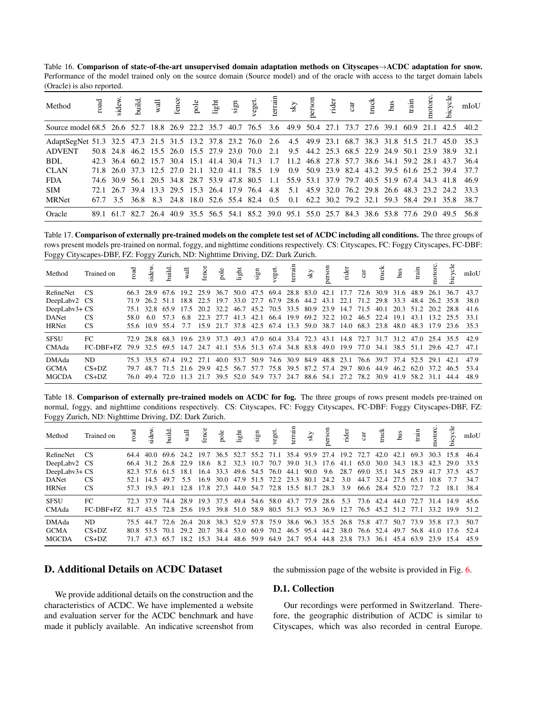<span id="page-3-0"></span>Table 16. Comparison of state-of-the-art unsupervised domain adaptation methods on Cityscapes→ACDC adaptation for snow. Performance of the model trained only on the source domain (Source model) and of the oracle with access to the target domain labels (Oracle) is also reported.

| Method                                                                                                          |  |  |  |  |  |                                                                                                   |  |  |  |  | mIoU                                                                                                |
|-----------------------------------------------------------------------------------------------------------------|--|--|--|--|--|---------------------------------------------------------------------------------------------------|--|--|--|--|-----------------------------------------------------------------------------------------------------|
| Source model 68.5 26.6 52.7 18.8 26.9 22.2 35.7 40.7 76.5 3.6 49.9 50.4 27.1 73.7 27.6 39.1 60.9 21.1 42.5 40.2 |  |  |  |  |  |                                                                                                   |  |  |  |  |                                                                                                     |
| AdaptSegNet 51.3 32.5 47.3 21.5 31.5 13.2 37.8 23.2 76.0 2.6 4.5 49.9 23.1 68.7 38.3 31.8 51.5 21.7 45.0 35.3   |  |  |  |  |  |                                                                                                   |  |  |  |  |                                                                                                     |
| <b>ADVENT</b>                                                                                                   |  |  |  |  |  | 50.8 24.8 46.2 15.5 26.0 15.5 27.9 23.0 70.0 2.1 9.5 44.2 25.3 68.5 22.9 24.9 50.1 23.9 38.9 32.1 |  |  |  |  |                                                                                                     |
| BDL.                                                                                                            |  |  |  |  |  |                                                                                                   |  |  |  |  | 42.3 36.4 60.2 15.7 30.4 15.1 41.4 30.4 71.3 1.7 11.2 46.8 27.8 57.7 38.6 34.1 59.2 28.1 43.7 36.4  |
| <b>CLAN</b>                                                                                                     |  |  |  |  |  |                                                                                                   |  |  |  |  | 71.8 26.0 37.3 12.5 27.0 21.1 32.0 41.1 78.5 1.9 0.9 50.9 23.9 82.4 43.2 39.5 61.6 25.2 39.4 37.7   |
| <b>FDA</b>                                                                                                      |  |  |  |  |  | 74.6 30.9 56.1 20.5 34.8 28.7 53.9 47.8 80.5 1.1 55.9 53.1 37.9 79.7 40.5 51.9 67.4 34.3 41.8     |  |  |  |  | 46.9                                                                                                |
| <b>SIM</b>                                                                                                      |  |  |  |  |  |                                                                                                   |  |  |  |  | 72.1 26.7 39.4 13.3 29.5 15.3 26.4 17.9 76.4 4.8 5.1 45.9 32.0 76.2 29.8 26.6 48.3 23.2 24.2 33.3   |
| <b>MRNet</b>                                                                                                    |  |  |  |  |  |                                                                                                   |  |  |  |  | 67.7 3.5 36.8 8.3 24.8 18.0 52.6 55.4 82.4 0.5 0.1 62.2 30.2 79.2 32.1 59.3 58.4 29.1 35.8 38.7     |
| Oracle                                                                                                          |  |  |  |  |  |                                                                                                   |  |  |  |  | 89.1 61.7 82.7 26.4 40.9 35.5 56.5 54.1 85.2 39.0 95.1 55.0 25.7 84.3 38.6 53.8 77.6 29.0 49.5 56.8 |

<span id="page-3-1"></span>Table 17. Comparison of externally pre-trained models on the complete test set of ACDC including all conditions. The three groups of rows present models pre-trained on normal, foggy, and nighttime conditions respectively. CS: Cityscapes, FC: Foggy Cityscapes, FC-DBF: Foggy Cityscapes-DBF, FZ: Foggy Zurich, ND: Nighttime Driving, DZ: Dark Zurich.

| Method        |                                                                                                |                                                                                                |  |                                                                                     |  |  |  |                                                                       |  |  | notorc.   | bicycle   | mIoU |
|---------------|------------------------------------------------------------------------------------------------|------------------------------------------------------------------------------------------------|--|-------------------------------------------------------------------------------------|--|--|--|-----------------------------------------------------------------------|--|--|-----------|-----------|------|
| RefineNet CS  |                                                                                                | 66.3 28.9 67.6 19.2 25.9 36.7 50.0 47.5 69.4 28.8 83.0 42.1 17.7 72.6 30.9 31.6 48.9 26.1 36.7 |  |                                                                                     |  |  |  |                                                                       |  |  |           |           | 43.7 |
| DeepLabv2 CS  |                                                                                                | 71.9 26.2 51.1 18.8 22.5 19.7 33.0 27.7 67.9 28.6 44.2 43.1 22.1 71.2 29.8 33.3 48.4 26.2 35.8 |  |                                                                                     |  |  |  |                                                                       |  |  |           |           | 38.0 |
| DeepLabv3+ CS |                                                                                                | 75.1 32.8 65.9 17.5 20.2 32.2 46.7 45.2 70.5 33.5 80.9 23.9 14.7 71.5 40.1 20.3 51.2 20.2 28.8 |  |                                                                                     |  |  |  |                                                                       |  |  |           |           | 41.6 |
| <b>DANet</b>  | <b>CS</b>                                                                                      | 58060                                                                                          |  | 57.3 6.8 22.3 27.7 41.3 42.1 66.4 19.9 69.2 32.2 10.2 46.5 22.4 19.1 43.1 13.2 25.5 |  |  |  |                                                                       |  |  |           |           | 33.1 |
| <b>HRNet</b>  | <b>CS</b>                                                                                      | 55.6 10.9 55.4 7.7 15.9 21.7 37.8 42.5 67.4 13.3 59.0 38.7 14.0 68.3 23.8 48.0 48.3            |  |                                                                                     |  |  |  |                                                                       |  |  |           | 17.9 23.6 | 35.3 |
| <b>SFSU</b>   | FC                                                                                             | 72.9 28.8 68.3 19.6 23.9 37.3 49.3 47.0 60.4 33.4 72.3 43.1 14.8 72.7 31.7 31.2 47.0 25.4 35.5 |  |                                                                                     |  |  |  |                                                                       |  |  |           |           | 42.9 |
| CMAda         | FC-DBF+FZ 79.9 32.5 69.5 14.7 24.7 41.1 53.6 51.3 67.4 34.8 83.8 49.0 19.9 77.0 34.1 38.5 51.1 |                                                                                                |  |                                                                                     |  |  |  |                                                                       |  |  | 29.6 42.7 |           | 47.1 |
| <b>DMAda</b>  | ND.                                                                                            | 75.3 35.5 67.4 19.2 27.1                                                                       |  |                                                                                     |  |  |  | 40.0 53.7 50.9 74.6 30.9 84.9 48.8 23.1 76.6 39.7 37.4 52.5 29.1 42.1 |  |  |           |           | 47.9 |
| <b>GCMA</b>   | $CS+DZ$                                                                                        | 79.7 48.7 71.5 21.6 29.9 42.5 56.7 57.7 75.8 39.5 87.2 57.4 29.7 80.6 44.9 46.2 62.0 37.2 46.5 |  |                                                                                     |  |  |  |                                                                       |  |  |           |           | 53.4 |
| <b>MGCDA</b>  | $CS+DZ$                                                                                        | 76.0 49.4 72.0 11.3 21.7 39.5 52.0 54.9 73.7 24.7 88.6 54.1 27.2 78.2 30.9 41.9 58.2 31.1 44.4 |  |                                                                                     |  |  |  |                                                                       |  |  |           |           | 48.9 |

Table 18. Comparison of externally pre-trained models on ACDC for fog. The three groups of rows present models pre-trained on normal, foggy, and nighttime conditions respectively. CS: Cityscapes, FC: Foggy Cityscapes, FC-DBF: Foggy Cityscapes-DBF, FZ: Foggy Zurich, ND: Nighttime Driving, DZ: Dark Zurich.

| Method        |                                                                                                |                     |          |                                                                                                |           |                     |  |                                                  |      |      |                |                     |      |                     | bicycle | mIoU |
|---------------|------------------------------------------------------------------------------------------------|---------------------|----------|------------------------------------------------------------------------------------------------|-----------|---------------------|--|--------------------------------------------------|------|------|----------------|---------------------|------|---------------------|---------|------|
| RefineNet     | - CS                                                                                           |                     |          | 64.4 40.0 69.6 24.2 19.7 36.5 52.7 55.2 71.1 35.4 93.9 27.4 19.2                               |           |                     |  |                                                  |      | 72.7 | 42.0           | 42.1                | 69.3 | 30.3                | 15.8    | 46.4 |
| DeepLabv2 CS  |                                                                                                |                     |          | 66.4 31.2 26.8 22.9 18.6 8.2 32.3 10.7 70.7 39.0 31.3 17.6 41.1 65.0 30.0 34.3 18.3 42.3       |           |                     |  |                                                  |      |      |                |                     |      |                     | 29.0    | 33.5 |
| DeepLabv3+ CS |                                                                                                | 82.3 57.6 61.5 18.1 |          |                                                                                                | 16.4 33.3 | 49.6 54.5 76.0 44.1 |  | $90.0 \quad 9.6$                                 | 28.7 |      |                | 69.0 35.1 34.5 28.9 |      | 41.7                | 37.5    | 45.7 |
| <b>DANet</b>  | <b>CS</b>                                                                                      | - 14.5              | 49.7 5.5 |                                                                                                | 16.9 30.0 |                     |  | 47.9 51.5 72.2 23.3 80.1 24.2                    | 3.0  |      |                | 44.7 32.4 27.5 65.1 |      | 10.8                | 7.7     | 34.7 |
| <b>HRNet</b>  | <b>CS</b>                                                                                      |                     |          | 57.3 19.3 49.1 12.8 17.8 27.3 44.0 54.7 72.8 15.5 81.7 28.3 3.9                                |           |                     |  |                                                  |      |      | 66.6 28.4 52.0 |                     | 72.7 | 72                  | 18.1    | 38.4 |
| <b>SFSU</b>   | FC.                                                                                            |                     |          | 72.3 37.9 74.4 28.9 19.3 37.5                                                                  |           |                     |  | 49.4 54.6 58.0 43.7 77.9 28.6 5.3 73.6 42.4 44.0 |      |      |                |                     | 72.7 | 31.4 14.9           |         | 45.6 |
| CMAda         | FC-DBF+FZ 81.7 43.5 72.8 25.6 19.5 39.8 51.0 58.9 80.5 51.3 95.3 36.9 12.7 76.5 45.2 51.2 77.1 |                     |          |                                                                                                |           |                     |  |                                                  |      |      |                |                     |      | 33.2 19.9           |         | 51.2 |
| DMAda         | ND.                                                                                            |                     |          | 75.5 44.7 72.6 26.4 20.8 38.3 52.9 57.8 75.9 38.6 96.3 35.5 26.8 75.8 47.7                     |           |                     |  |                                                  |      |      |                |                     |      | 50.7 73.9 35.8 17.3 |         | 50.7 |
| <b>GCMA</b>   | $CS+DZ$                                                                                        |                     |          | 80.8 53.5 70.1 29.2 20.7 38.4 53.0 60.9 70.2 46.5 95.4 44.2 38.0 76.6 52.4 49.7 56.8 41.0 17.6 |           |                     |  |                                                  |      |      |                |                     |      |                     |         | 52.4 |
| <b>MGCDA</b>  | $CS+DZ$                                                                                        |                     |          | 71.7 47.3 65.7 18.2 15.3 34.4 48.6 59.9 64.9 24.7 95.4 44.8 23.8 73.3 36.1 45.4 63.9 23.9 15.4 |           |                     |  |                                                  |      |      |                |                     |      |                     |         | 45.9 |

# D. Additional Details on ACDC Dataset

the submission page of the website is provided in Fig. [6.](#page-8-0)

We provide additional details on the construction and the characteristics of ACDC. We have implemented a website and evaluation server for the ACDC benchmark and have made it publicly available. An indicative screenshot from

## D.1. Collection

Our recordings were performed in Switzerland. Therefore, the geographic distribution of ACDC is similar to Cityscapes, which was also recorded in central Europe.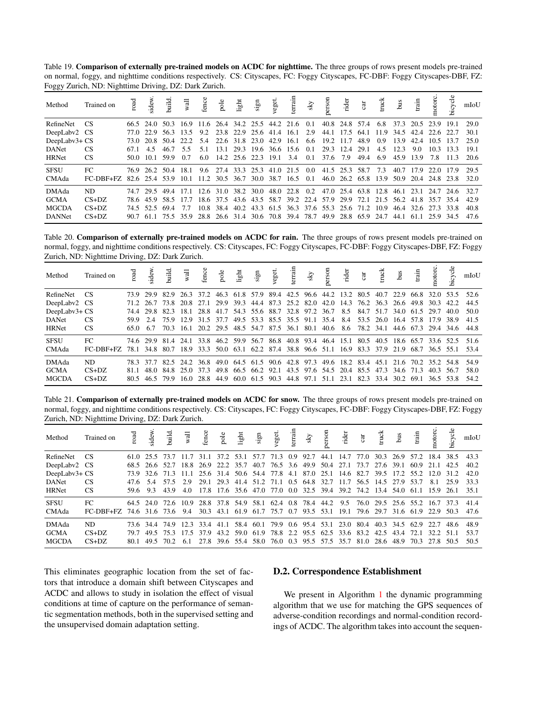Table 19. Comparison of externally pre-trained models on ACDC for nighttime. The three groups of rows present models pre-trained on normal, foggy, and nighttime conditions respectively. CS: Cityscapes, FC: Foggy Cityscapes, FC-DBF: Foggy Cityscapes-DBF, FZ: Foggy Zurich, ND: Nighttime Driving, DZ: Dark Zurich.

| Method        | Trained on                                                      |          |           |                    | road<br>identical veget.<br>In the sky spectrum of the sky spectrum of the sky spectrum of the sky spectrum of the spectrum of the spectrum of the spectrum of the spectrum of the spectrum of the spectrum of the spectrum of the s |     |                              |  |  |     |                                                                  |           |                          |     |      |           |                                         | bicycle | mIoU |
|---------------|-----------------------------------------------------------------|----------|-----------|--------------------|--------------------------------------------------------------------------------------------------------------------------------------------------------------------------------------------------------------------------------------|-----|------------------------------|--|--|-----|------------------------------------------------------------------|-----------|--------------------------|-----|------|-----------|-----------------------------------------|---------|------|
| RefineNet     | - CS                                                            |          |           |                    | 66.5 24.0 50.3 16.9 11.6 26.4 34.2 25.5 44.2 21.6 0.1                                                                                                                                                                                |     |                              |  |  |     | 40.8 24.8 57.4 6.8                                               |           |                          |     |      |           | 37.3 20.5 23.9                          | 19.1    | 29.0 |
| DeepLaby2     | - CS                                                            |          | 77.0 22.9 |                    | 56.3 13.5                                                                                                                                                                                                                            |     | 9.2 23.8 22.9 25.6 41.4 16.1 |  |  | 2.9 |                                                                  |           |                          |     |      |           | 44.1 17.5 64.1 11.9 34.5 42.4 22.6 22.7 |         | 30.1 |
| DeepLabv3+ CS |                                                                 | 73.O     | 20.8      |                    | 50.4 22.2 5.4                                                                                                                                                                                                                        |     | 22.6 31.8 23.0 42.9 16.1     |  |  |     | 6.6 19.2 11.7                                                    |           | 48.9                     | 0.9 | 13.9 | 42.4      | 10.5                                    | 13.7    | 25.0 |
| DANet         | <b>CS</b>                                                       | 67.1 4.5 |           | 46.7 5.5           |                                                                                                                                                                                                                                      | 5.1 | 13.1 29.3 19.6 36.6 15.6 0.1 |  |  |     |                                                                  | 29.3 12.4 | 29.1                     | 4.5 | 12.3 | 9.0       | 10.3                                    | 13.3    | 19.1 |
| <b>HRNet</b>  | <b>CS</b>                                                       |          |           | 50.0 10.1 59.9 0.7 |                                                                                                                                                                                                                                      | 6.0 | 14.2 25.6 22.3 19.1 3.4      |  |  | 0.1 | 37.6 7.9                                                         |           | 49.4                     | 6.9 | 45.9 | 13.9      | 7.8                                     | 11.3    | 20.6 |
| <b>SFSU</b>   | FC                                                              |          |           |                    | 76.9 26.2 50.4 18.1 9.6 27.4 33.3 25.3 41.0 21.5 0.0 41.5 25.3 58.7 7.3                                                                                                                                                              |     |                              |  |  |     |                                                                  |           |                          |     |      | 40.7 17.9 | 22.0 17.9                               |         | 29.5 |
| CMAda         | FC-DBF+FZ 82.6 25.4 53.9 10.1 11.2 30.5 36.7 30.0 38.7 16.5 0.1 |          |           |                    |                                                                                                                                                                                                                                      |     |                              |  |  |     |                                                                  |           | 46.0 26.2 65.8 13.9 50.9 |     |      |           | 20.4 24.8 23.8                          |         | 32.0 |
| DMAda         | ND.                                                             |          |           |                    | 74.7 29.5 49.4 17.1 12.6 31.0 38.2 30.0 48.0 22.8 0.2 47.0 25.4 63.8 12.8 46.1 23.1                                                                                                                                                  |     |                              |  |  |     |                                                                  |           |                          |     |      |           | 24.7 24.6                               |         | 32.7 |
| <b>GCMA</b>   | $CS+DZ$                                                         |          | 78.6 45.9 | 58.5 17.7          |                                                                                                                                                                                                                                      |     | 18.6 37.5                    |  |  |     | 43.6 43.5 58.7 39.2 22.4 57.9 29.9 72.1 21.5 56.2 41.8 35.7 35.4 |           |                          |     |      |           |                                         |         | 42.9 |
| <b>MGCDA</b>  | $CS+DZ$                                                         |          |           | 74.5 52.5 69.4     | 7.7                                                                                                                                                                                                                                  |     |                              |  |  |     | 10.8 38.4 40.2 43.3 61.5 36.3 37.6 55.3 25.6 71.2 10.9           |           |                          |     |      | 46.4 32.6 | 27.3                                    | 33.8    | 40.8 |
| <b>DANNet</b> | $CS+DZ$                                                         |          |           |                    | 90.7 61.1 75.5 35.9 28.8 26.6 31.4 30.6 70.8 39.4 78.7 49.9 28.8 65.9 24.7 44.1                                                                                                                                                      |     |                              |  |  |     |                                                                  |           |                          |     |      | 61.1      | 25.9 34.5                               |         | 47.6 |

Table 20. Comparison of externally pre-trained models on ACDC for rain. The three groups of rows present models pre-trained on normal, foggy, and nighttime conditions respectively. CS: Cityscapes, FC: Foggy Cityscapes, FC-DBF: Foggy Cityscapes-DBF, FZ: Foggy Zurich, ND: Nighttime Driving, DZ: Dark Zurich.

| Method        |                                                                                                          |      |       |                     |  |  |  |                                                                                                |           |                |                | bicycle | mIoU |
|---------------|----------------------------------------------------------------------------------------------------------|------|-------|---------------------|--|--|--|------------------------------------------------------------------------------------------------|-----------|----------------|----------------|---------|------|
| RefineNet     | - CS                                                                                                     |      |       |                     |  |  |  | 73.9 29.9 82.9 26.3 37.2 46.3 61.8 57.9 89.4 42.5 96.6 44.2 13.2                               | 80.5 40.7 | 22.9           | 66.8 32.0 53.5 |         | 52.6 |
| DeepLabv2 CS  |                                                                                                          |      |       |                     |  |  |  | 71.2 26.7 73.8 20.8 27.1 29.9 39.3 44.4 87.3 25.2 82.0 42.0 14.3 76.2 36.3 26.6 49.8 30.3      |           |                |                | 42.2    | 44.5 |
| DeepLabv3+ CS |                                                                                                          |      | 29.8  |                     |  |  |  | 82.3 18.1 28.8 41.7 54.3 55.6 88.7 32.8 97.2 36.7 8.5                                          | 84.7 51.7 | 34.0 61.5 29.7 |                | 40.O    | 50.0 |
| <b>DANet</b>  | <b>CS</b>                                                                                                | 59.9 | 2.4   | 75.9 12.9 31.5 37.7 |  |  |  | 49.5 53.3 85.5 35.5 91.1 35.4 8.4 53.5 26.0 16.4 57.8 17.9                                     |           |                |                | 38.9    | 41.5 |
| <b>HRNet</b>  | <b>CS</b>                                                                                                | 65.0 | - 6.7 |                     |  |  |  | 70.3 16.1 20.2 29.5 48.5 54.7 87.5 36.1 80.1 40.6 8.6 78.2 34.1 44.6 67.3 29.4 34.6            |           |                |                |         | 44.8 |
| <b>SFSU</b>   | FC                                                                                                       |      |       |                     |  |  |  | 74.6 29.9 81.4 24.1 33.8 46.2 59.9 56.7 86.8 40.8 93.4 46.4 15.1 80.5 40.5 18.6 65.7 33.6 52.5 |           |                |                |         | 51.6 |
| CMAda         | FC-DBF+FZ 78.1 34.8 80.7 18.9 33.3 50.0 63.1 62.2 87.4 38.8 96.6 51.1 16.9 83.3 37.9 21.9 68.7 36.5 55.1 |      |       |                     |  |  |  |                                                                                                |           |                |                |         | 53.4 |
| DMAda         | ND.                                                                                                      |      |       |                     |  |  |  | 78.3 37.7 82.5 24.2 36.8 49.0 64.5 61.5 90.6 42.8 97.3 49.6 18.2 83.4 45.1 21.6 70.2 35.2 54.8 |           |                |                |         | 54.9 |
| <b>GCMA</b>   | $CS+DZ$                                                                                                  |      |       |                     |  |  |  | 48.0 84.8 25.0 37.3 49.8 66.5 66.2 92.1 43.5 97.6 54.5 20.4 85.5 47.3 34.6 71.3 40.3 56.7      |           |                |                |         | 58.0 |
| <b>MGCDA</b>  | $CS+DZ$                                                                                                  |      |       |                     |  |  |  | 80.5 46.5 79.9 16.0 28.8 44.9 60.0 61.5 90.3 44.8 97.1 51.1 23.1 82.3 33.4 30.2 69.1 36.5 53.8 |           |                |                |         | 54.2 |

<span id="page-4-0"></span>Table 21. Comparison of externally pre-trained models on ACDC for snow. The three groups of rows present models pre-trained on normal, foggy, and nighttime conditions respectively. CS: Cityscapes, FC: Foggy Cityscapes, FC-DBF: Foggy Cityscapes-DBF, FZ: Foggy Zurich, ND: Nighttime Driving, DZ: Dark Zurich.

| Method        | Trained on                                                                                             |       |          |                                                                                               |  |  |                                                                                    |  |  |  |                     | motorc. | bicycle | mIoU |
|---------------|--------------------------------------------------------------------------------------------------------|-------|----------|-----------------------------------------------------------------------------------------------|--|--|------------------------------------------------------------------------------------|--|--|--|---------------------|---------|---------|------|
| RefineNet     | - CS                                                                                                   |       |          | 61.0 25.5 73.7 11.7                                                                           |  |  | 31.1 37.2 53.1 57.7 71.3 0.9 92.7 44.1 14.7 77.0 30.3 26.9 57.2 18.4 38.5          |  |  |  |                     |         |         | 43.3 |
| DeepLabv2 CS  |                                                                                                        |       |          | 68.5 26.6 52.7 18.8 26.9 22.2 35.7 40.7 76.5 3.6 49.9 50.4 27.1 73.7 27.6 39.1 60.9 21.1      |  |  |                                                                                    |  |  |  |                     |         | 42.5    | 40.2 |
| DeepLabv3+ CS |                                                                                                        |       |          | 73.9 32.6 71.3 11.1 25.6 31.4 50.6 54.4 77.8 4.1 87.0 25.1 14.6 82.7 39.5 17.2 55.2 12.0 31.2 |  |  |                                                                                    |  |  |  |                     |         |         | 42.0 |
| DANet         | <b>CS</b>                                                                                              |       | 47.6 5.4 | 57.5 2.9                                                                                      |  |  | 29.1 29.3 41.4 51.2 71.1 0.5 64.8 32.7 11.7 56.5 14.5 27.9 53.7                    |  |  |  |                     | 8.1     | 25.9    | 33.3 |
| <b>HRNet</b>  | <b>CS</b>                                                                                              | 59693 |          |                                                                                               |  |  | 43.9 4.0 17.8 17.6 35.6 47.0 77.0 0.0 32.5 39.4 39.2 74.2 13.4 54.0 61.1 15.9 26.1 |  |  |  |                     |         |         | 35.1 |
| <b>SFSU</b>   | FC                                                                                                     |       |          | 64.5 24.0 72.6 10.9 28.8 37.8 54.9 58.1 62.4 0.8 78.4 44.2 9.5 76.0 29.5 25.6 55.2 16.7 37.3  |  |  |                                                                                    |  |  |  |                     |         |         | 41.4 |
| CMAda         | FC-DBF+FZ 74.6 31.6 73.6 9.4 30.3 43.1 61.9 61.7 75.7 0.7 93.5 53.1 19.1 79.6 29.7 31.6 61.9 22.9 50.3 |       |          |                                                                                               |  |  |                                                                                    |  |  |  |                     |         |         | 47.6 |
| DMAda         | ND.                                                                                                    |       |          | 73.6 34.4 74.9 12.3 33.4 41.1 58.4 60.1 79.9 0.6 95.4 53.1 23.0 80.4                          |  |  |                                                                                    |  |  |  | 40.3 34.5 62.9 22.7 |         | 48.6    | 48.9 |
| <b>GCMA</b>   | $CS+DZ$                                                                                                | 79.7  |          | 49.5 75.3 17.5 37.9 43.2 59.0 61.9 78.8 2.2 95.5 62.5 33.6 83.2 42.5 43.4 72.1 32.2 51.1      |  |  |                                                                                    |  |  |  |                     |         |         | 53.7 |
| <b>MGCDA</b>  | $CS+DZ$                                                                                                |       |          | 80.1 49.5 70.2 6.1 27.8 39.6 55.4 58.0 76.0 0.3 95.5 57.5 35.7 81.0 28.6 48.9 70.3 27.8 50.5  |  |  |                                                                                    |  |  |  |                     |         |         | 50.5 |

This eliminates geographic location from the set of factors that introduce a domain shift between Cityscapes and ACDC and allows to study in isolation the effect of visual conditions at time of capture on the performance of semantic segmentation methods, both in the supervised setting and the unsupervised domain adaptation setting.

### D.2. Correspondence Establishment

We present in Algorithm [1](#page-7-1) the dynamic programming algorithm that we use for matching the GPS sequences of adverse-condition recordings and normal-condition recordings of ACDC. The algorithm takes into account the sequen-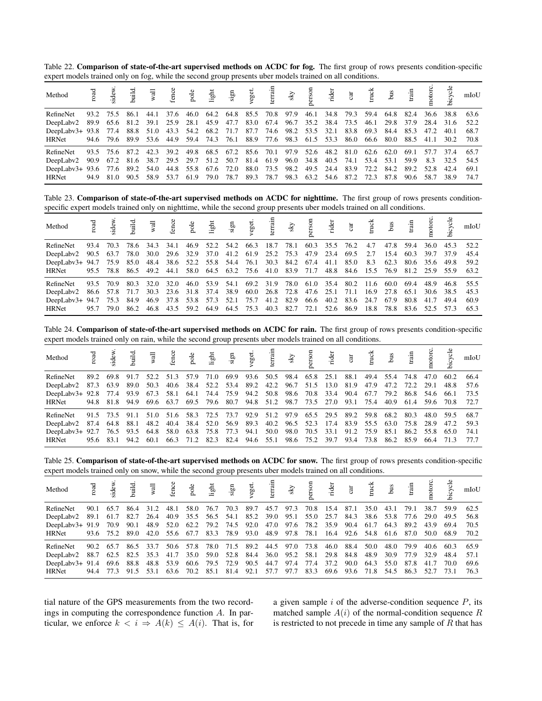<span id="page-5-0"></span>Table 22. Comparison of state-of-the-art supervised methods on ACDC for fog. The first group of rows presents condition-specific expert models trained only on fog, while the second group presents uber models trained on all conditions.

| Method                                                                                               |      |  |  |  |  |  | no state and state and state and state and state and state and state and state and state and state and state in the state of the state and state and state and state and state and state and state and state and state and sta |  |  |                     |      | bicycle                                                                                        | mIoU      |
|------------------------------------------------------------------------------------------------------|------|--|--|--|--|--|--------------------------------------------------------------------------------------------------------------------------------------------------------------------------------------------------------------------------------|--|--|---------------------|------|------------------------------------------------------------------------------------------------|-----------|
| RefineNet                                                                                            |      |  |  |  |  |  |                                                                                                                                                                                                                                |  |  |                     |      | 93.2 75.5 86.1 44.1 37.6 46.0 64.2 64.8 85.5 70.8 97.9 46.1 34.8 79.3 59.4 64.8 82.4 36.6 38.8 | 63.6      |
| DeepLabv2 89.9 65.6 81.2 39.1 25.9 28.1 45.9 47.7 83.0 67.4 96.7 35.2 38.4 73.5 46.1 29.8 37.9 28.4  |      |  |  |  |  |  |                                                                                                                                                                                                                                |  |  |                     |      | 31.6 52.2                                                                                      |           |
| DeepLaby3+ 93.8 77.4 88.8 51.0 43.3 54.2 68.2 71.7 87.7 74.6 98.2 53.5 32.1 83.8 69.3 84.4 85.3 47.2 |      |  |  |  |  |  |                                                                                                                                                                                                                                |  |  |                     |      | 40.1                                                                                           | 68.7      |
| <b>HRNet</b>                                                                                         |      |  |  |  |  |  |                                                                                                                                                                                                                                |  |  |                     |      | 94.6 79.6 89.9 53.6 44.9 59.4 74.3 76.1 88.9 77.6 98.3 61.5 53.3 86.0 66.6 80.0 88.5 41.1 30.2 | 70.8      |
| RefineNet                                                                                            |      |  |  |  |  |  | 93.5 75.6 87.2 42.3 39.2 49.8 68.5 67.2 85.6 70.1 97.9 52.6 48.2 81.0 62.6 62.0 69.1                                                                                                                                           |  |  |                     | 57.7 | 37.4 65.7                                                                                      |           |
| DeepLaby2 90.9 67.2 81.6 38.7 29.5 29.7 51.2 50.7 81.4 61.9 96.0 34.8 40.5 74.1 53.4 53.1 59.9 8.3   |      |  |  |  |  |  |                                                                                                                                                                                                                                |  |  |                     |      |                                                                                                | 32.5 54.5 |
| DeepLabv3+ 93.6 77.6 89.2 54.0 44.8 55.8 67.6 72.0 88.0 73.5 98.2 49.5 24.4                          |      |  |  |  |  |  |                                                                                                                                                                                                                                |  |  | 83.9 72.2 84.2 89.2 | 52.8 | 42.4 69.1                                                                                      |           |
| <b>HRNet</b>                                                                                         | 94.9 |  |  |  |  |  | 81.0 90.5 58.9 53.7 61.9 79.0 78.7 89.3 78.7 98.3 63.2 54.6 87.2 72.3 87.8 90.6 58.7                                                                                                                                           |  |  |                     |      | 38.9 74.7                                                                                      |           |

Table 23. Comparison of state-of-the-art supervised methods on ACDC for nighttime. The first group of rows presents conditionspecific expert models trained only on nighttime, while the second group presents uber models trained on all conditions.

| Method                                                                                          |      |                                                                       |           |                                                                                      |      |  |                          |  |      |                                         |     |                     |      |      |                | mIoU                                                                                                |
|-------------------------------------------------------------------------------------------------|------|-----------------------------------------------------------------------|-----------|--------------------------------------------------------------------------------------|------|--|--------------------------|--|------|-----------------------------------------|-----|---------------------|------|------|----------------|-----------------------------------------------------------------------------------------------------|
| RefineNet                                                                                       | 93.4 | 70.3                                                                  |           | 78.6 34.3                                                                            | 34.1 |  | 46.9 52.2 54.2 66.3 18.7 |  | 78.1 | 60.3 35.5 76.2                          | 4.7 | 47.8                | 59.4 | 36.0 | 45.3           | 52.2                                                                                                |
| DeepLaby2                                                                                       |      | 90.5 63.7 78.0 30.0 29.6 32.9 37.0 41.2 61.9 25.2 75.3 47.9 23.4 69.5 |           |                                                                                      |      |  |                          |  |      |                                         | 2.7 | 15.4 60.3           |      | 39.7 | 37.9           | 45.4                                                                                                |
| DeepLabv3+ 94.7 75.9 85.0 48.4 38.6 52.2 55.8 54.4 76.1 30.3 84.2 67.4 41.1 85.0                |      |                                                                       |           |                                                                                      |      |  |                          |  |      |                                         |     | 8.3 62.3 80.6 35.6  |      |      |                | 49.8 59.2                                                                                           |
| HRNet                                                                                           |      |                                                                       |           |                                                                                      |      |  |                          |  |      |                                         |     |                     |      |      |                | 95.5 78.8 86.5 49.2 44.1 58.0 64.5 63.2 75.6 41.0 83.9 71.7 48.8 84.6 15.5 76.9 81.2 25.9 55.9 63.2 |
| RefineNet                                                                                       | 93.5 | 70.9                                                                  | 80.3 32.0 |                                                                                      | 32.0 |  |                          |  |      | 46.0 53.9 54.1 69.2 31.9 78.0 61.0 35.4 |     | 80.2 11.6 60.0 69.4 |      | 48.9 |                | 46.8 55.5                                                                                           |
| DeepLaby2                                                                                       |      | 86.6 57.8 71.7 30.3 23.6 31.8 37.4 38.9 60.0 26.8 72.8 47.6 25.1 71.1 |           |                                                                                      |      |  |                          |  |      |                                         |     | 16.9 27.8 65.1      |      |      | 30.6 38.5 45.3 |                                                                                                     |
| DeepLabv3+ 94.7 75.3 84.9 46.9 37.8 53.8 57.3 52.1 75.7 41.2 82.9 66.6 40.2 83.6 24.7 67.9 80.8 |      |                                                                       |           |                                                                                      |      |  |                          |  |      |                                         |     |                     |      | 41.7 | 49.4           | 60.9                                                                                                |
| <b>HRNet</b>                                                                                    | 95.7 | 79.0                                                                  |           | 86.2 46.8 43.5 59.2 64.9 64.5 75.3 40.3 82.7 72.1 52.6 86.9 18.8 78.8 83.6 52.5 57.3 |      |  |                          |  |      |                                         |     |                     |      |      |                | 65.3                                                                                                |

Table 24. Comparison of state-of-the-art supervised methods on ACDC for rain. The first group of rows presents condition-specific expert models trained only on rain, while the second group presents uber models trained on all conditions.

| Method                                                                      |      |                     |      |      |      |           |  |  |           | not start and the start of the start of the start of the start of the start of the start of the start of the start of the start of the start of the start of the start of the start of the start of the start of the start of |           |      |                     |                |                     |                | mIoU |
|-----------------------------------------------------------------------------|------|---------------------|------|------|------|-----------|--|--|-----------|-------------------------------------------------------------------------------------------------------------------------------------------------------------------------------------------------------------------------------|-----------|------|---------------------|----------------|---------------------|----------------|------|
| RefineNet                                                                   | 89.2 | 69.8                | 91.7 | 52.2 | 51.3 | 57.9 71.0 |  |  |           | 69.9 93.6 50.5 98.4 65.8 25.1                                                                                                                                                                                                 | 88.1      | 49.4 |                     | 55.4 74.8 47.0 |                     | 60.2           | 66.4 |
| DeepLaby2                                                                   |      | 87.3 63.9 89.0 50.3 |      |      |      |           |  |  |           | 40.6 38.4 52.2 53.4 89.2 42.2 96.7 51.5 13.0 81.9                                                                                                                                                                             |           |      | 47.9 47.2 72.2      |                | 29.1                | 48.8           | 57.6 |
| DeepLabv3+ 92.8 77.4 93.9 67.3 58.1 64.1 74.4 75.9 94.2 50.8 98.6 70.8 33.4 |      |                     |      |      |      |           |  |  |           |                                                                                                                                                                                                                               | 90.4 67.7 |      |                     |                | 79.2 86.8 54.6 66.1 |                | 73.5 |
| <b>HRNet</b>                                                                |      |                     |      |      |      |           |  |  |           | 94.8 81.8 94.9 69.6 63.7 69.5 79.6 80.7 94.8 51.2 98.7 73.5 27.0 93.1 75.4 40.9 61.4 59.6 70.8 72.7                                                                                                                           |           |      |                     |                |                     |                |      |
| RefineNet                                                                   |      | 91.5 73.5 91.1      |      | 51.0 |      |           |  |  |           | 51.6 58.3 72.5 73.7 92.9 51.2 97.9 65.5 29.5 89.2                                                                                                                                                                             |           |      | 59.8 68.2 80.3      |                |                     | 48.0 59.5 68.7 |      |
| DeepLabv2 87.4 64.8 88.1 48.2 40.4 38.4 52.0 56.9 89.3 40.2 96.5 52.3 17.4  |      |                     |      |      |      |           |  |  |           |                                                                                                                                                                                                                               | 83.9      |      | 55.5 63.0 75.8 28.9 |                |                     | 47.2           | 59.3 |
| DeepLabv3+ 92.7 76.5 93.5 64.8 58.0 63.8 75.8 77.3 94.1                     |      |                     |      |      |      |           |  |  | 50.0 98.0 | 70.5 33.1                                                                                                                                                                                                                     | 91.2      |      | 75.9 85.1           | 86.2           | 55.8                | 65.0 74.1      |      |
| <b>HRNet</b>                                                                |      | 95.6 83.1 94.2 60.1 |      |      |      |           |  |  |           | 66.3 71.2 82.3 82.4 94.6 55.1 98.6 75.2 39.7 93.4                                                                                                                                                                             |           |      | 73.8 86.2 85.9 66.4 |                |                     | 71.3           | 77.7 |

<span id="page-5-1"></span>Table 25. Comparison of state-of-the-art supervised methods on ACDC for snow. The first group of rows presents condition-specific expert models trained only on snow, while the second group presents uber models trained on all conditions.

| Method                                                                                                    |      |           |                                                   |           |      |      |  |                     |                                         |      | road<br>build.<br>Ight fight fight sign, we set that is a sign of the sign of the sign sign sign sign and the sign of the sign of the sign of the sign of the sign of the sign of the sign of the sign of the sign of the sign of th |           |      |           |                          |           |           | mIoU |
|-----------------------------------------------------------------------------------------------------------|------|-----------|---------------------------------------------------|-----------|------|------|--|---------------------|-----------------------------------------|------|--------------------------------------------------------------------------------------------------------------------------------------------------------------------------------------------------------------------------------------|-----------|------|-----------|--------------------------|-----------|-----------|------|
| <b>RefineNet</b>                                                                                          | 90.1 | 65.7      |                                                   | 86.4 31.2 | 48.1 | 58.0 |  | 76.7 70.3 89.7 45.7 |                                         | 97.3 | 70.8 15.4 87.1                                                                                                                                                                                                                       |           | 35.0 | 43.1 79.1 |                          | 38.7      | 59.9      | 62.5 |
| DeepLabv2 89.1 61.7 82.7 26.4 40.9 35.5 56.5 54.1 85.2 39.0 95.1 55.0 25.7 84.3                           |      |           |                                                   |           |      |      |  |                     |                                         |      |                                                                                                                                                                                                                                      |           |      |           | 38.6 53.8 77.6 29.0 49.5 |           |           | 56.8 |
| DeepLabv3+ 91.9 70.9 90.1 48.9 52.0 62.2 79.2 74.5 92.0 47.0 97.6 78.2 35.9 90.4 61.7 64.3 89.2 43.9 69.4 |      |           |                                                   |           |      |      |  |                     |                                         |      |                                                                                                                                                                                                                                      |           |      |           |                          |           |           | 70.5 |
| HRNet                                                                                                     |      |           |                                                   |           |      |      |  |                     |                                         |      | 93.6 75.2 89.0 42.0 55.6 67.7 83.3 78.9 93.0 48.9 97.8 78.1 16.4 92.6 54.8 61.6 87.0                                                                                                                                                 |           |      |           |                          | 50.0      | 68.9      | 70.2 |
| RefineNet                                                                                                 |      | 90.2 65.7 | 86.5 33.7                                         |           |      |      |  |                     | 50.6 57.8 78.0 71.5 89.2 44.5 97.0 73.8 |      |                                                                                                                                                                                                                                      | 46.0 88.4 | 50.0 | 48.0      | 79.9                     |           | 40.6 60.3 | 65.9 |
| DeepLaby2 88.7 62.5 82.5 35.3 41.7 35.0 59.0 52.8 84.4 36.0 95.2 58.1 29.8 84.8                           |      |           |                                                   |           |      |      |  |                     |                                         |      |                                                                                                                                                                                                                                      |           | 48.9 | 30.9 77.9 |                          | 32.9      | 48.4      | 57.1 |
| DeepLabv $3+91.4$                                                                                         |      |           | 69.6 88.8 48.8 53.9 60.6 79.5 72.9 90.5 44.7 97.4 |           |      |      |  |                     |                                         |      | 77.4 37.2 90.0                                                                                                                                                                                                                       |           | 64.3 | 55.0 87.8 |                          | 41.7 70.0 |           | 69.6 |
| <b>HRNet</b>                                                                                              |      | 94.4 77.3 |                                                   |           |      |      |  |                     |                                         |      | 91.5 53.1 63.6 70.2 85.1 81.4 92.1 57.7 97.7 83.3 69.6 93.6 71.8                                                                                                                                                                     |           |      |           | 54.5 86.3 52.7           |           | 73.1      | 76.3 |

tial nature of the GPS measurements from the two recordings in computing the correspondence function  $A$ . In particular, we enforce  $k < i \Rightarrow A(k) \leq A(i)$ . That is, for a given sample  $i$  of the adverse-condition sequence  $P$ , its matched sample  $A(i)$  of the normal-condition sequence R is restricted to not precede in time any sample of  $R$  that has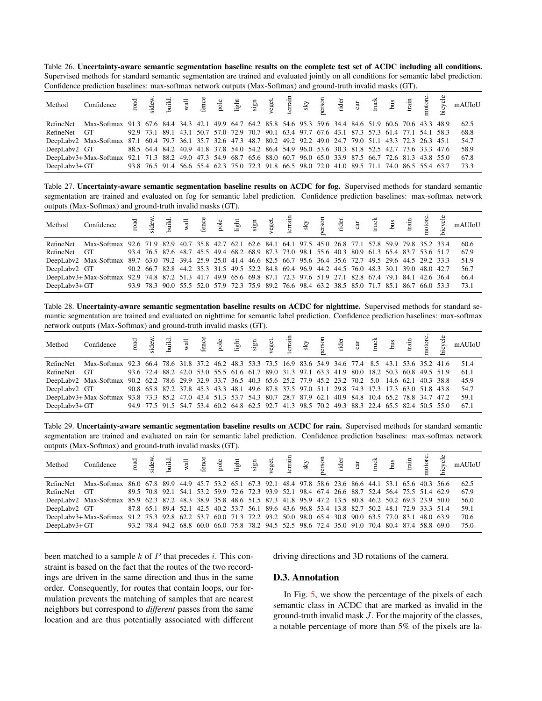<span id="page-6-0"></span>

| Table 26. Uncertainty-aware semantic segmentation baseline results on the complete test set of ACDC including all conditions.            |
|------------------------------------------------------------------------------------------------------------------------------------------|
| Supervised methods for standard semantic segmentation are trained and evaluated jointly on all conditions for semantic label prediction. |
| Confidence prediction baselines: max-softmax network outputs (Max-Softmax) and ground-truth invalid masks (GT).                          |

| Method        | $\begin{array}{cccccccccccccc} \text{Confidence} & \stackrel{\neg 1}{\neq} & \stackrel{\rightarrow}{\neq} & \stackrel{\rightarrow}{\neq} & \stackrel{\rightarrow}{\neq} & \stackrel{\rightarrow}{\neq} & \stackrel{\rightarrow}{\neq} & \stackrel{\rightarrow}{\neq} & \stackrel{\rightarrow}{\neq} & \stackrel{\rightarrow}{\neq} & \stackrel{\rightarrow}{\neq} & \stackrel{\rightarrow}{\neq} & \stackrel{\rightarrow}{\neq} & \stackrel{\rightarrow}{\neq} & \stackrel{\rightarrow}{\neq} & \stackrel{\rightarrow}{\neq} & \stackrel{\rightarrow}{\neq} & \stackrel{\rightarrow}{\neq} & \stackrel{\rightarrow}{\neq} & \stackrel$ |  |                                                                                                |  |  |  |  |  |  |  |      |
|---------------|----------------------------------------------------------------------------------------------------------------------------------------------------------------------------------------------------------------------------------------------------------------------------------------------------------------------------------------------------------------------------------------------------------------------------------------------------------------------------------------------------------------------------------------------------------------------------------------------------------------------------------------|--|------------------------------------------------------------------------------------------------|--|--|--|--|--|--|--|------|
|               | RefineNet Max-Softmax 91.3 67.6 84.4 34.3 42.1 49.9 64.7 64.2 85.8 54.6 95.3 59.6 34.4 84.6 51.9 60.6 70.6 43.3 48.9                                                                                                                                                                                                                                                                                                                                                                                                                                                                                                                   |  |                                                                                                |  |  |  |  |  |  |  | 62.5 |
| RefineNet GT  |                                                                                                                                                                                                                                                                                                                                                                                                                                                                                                                                                                                                                                        |  | 92.9 73.1 89.1 43.1 50.7 57.0 72.9 70.7 90.1 63.4 97.7 67.6 43.1 87.3 57.3 61.4 77.1 54.1 58.3 |  |  |  |  |  |  |  | 68.8 |
|               | DeepLaby2 Max-Softmax 87.1 60.4 79.7 36.1 35.7 32.6 47.3 48.7 80.2 49.2 92.2 49.0 24.7 79.0 51.1 43.3 72.3 26.3 45.1                                                                                                                                                                                                                                                                                                                                                                                                                                                                                                                   |  |                                                                                                |  |  |  |  |  |  |  | 54.7 |
| DeepLaby2 GT  |                                                                                                                                                                                                                                                                                                                                                                                                                                                                                                                                                                                                                                        |  | 88.5 64.4 84.2 40.9 41.8 37.8 54.0 54.2 86.4 54.9 96.0 53.6 30.3 81.8 52.5 42.7 73.6 33.3 47.6 |  |  |  |  |  |  |  | 58.9 |
|               | DeepLaby3+ Max-Softmax 92.1 71.3 88.2 49.0 47.3 54.9 68.7 65.6 88.0 60.7 96.0 65.0 33.9 87.5 66.7 72.6 81.3 43.8 55.0                                                                                                                                                                                                                                                                                                                                                                                                                                                                                                                  |  |                                                                                                |  |  |  |  |  |  |  | 67.8 |
| DeepLabv3+ GT |                                                                                                                                                                                                                                                                                                                                                                                                                                                                                                                                                                                                                                        |  | 93.8 76.5 91.4 56.6 55.4 62.3 75.0 72.3 91.8 66.5 98.0 72.0 41.0 89.5 71.1 74.0 86.5 55.4 63.7 |  |  |  |  |  |  |  | 73.3 |

<span id="page-6-1"></span>Table 27. Uncertainty-aware semantic segmentation baseline results on ACDC for fog. Supervised methods for standard semantic segmentation are trained and evaluated on fog for semantic label prediction. Confidence prediction baselines: max-softmax network outputs (Max-Softmax) and ground-truth invalid masks (GT).

| Method        |                                                                                                                       |  |                                                                                                |  |  |  |  |  |  |  |      |
|---------------|-----------------------------------------------------------------------------------------------------------------------|--|------------------------------------------------------------------------------------------------|--|--|--|--|--|--|--|------|
| RefineNet     | Max-Softmax 92.6 71.9 82.9 40.7 35.8 42.7 62.1 62.6 84.1 64.1 97.5 45.0 26.8 77.1 57.8 59.9 79.8 35.2 33.4            |  |                                                                                                |  |  |  |  |  |  |  | 60.6 |
| RefineNet GT  |                                                                                                                       |  | 93.4 76.5 87.6 48.7 45.5 49.4 68.2 68.9 87.3 73.0 98.1 55.6 40.3 80.9 61.3 65.4 83.7 53.6 51.7 |  |  |  |  |  |  |  | 67.9 |
|               | DeepLaby2 Max-Softmax 89.7 63.0 79.2 39.4 25.9 25.0 41.4 46.6 82.5 66.7 95.6 36.4 35.6 72.7 49.5 29.6 44.5 29.2 33.3  |  |                                                                                                |  |  |  |  |  |  |  | 51.9 |
| DeepLabv2 GT  |                                                                                                                       |  | 90.2 66.7 82.8 44.2 35.3 31.5 49.5 52.2 84.8 69.4 96.9 44.2 44.5 76.0 48.3 30.1 39.0 48.0 42.7 |  |  |  |  |  |  |  | 56.7 |
|               | DeepLaby3+ Max-Softmax 92.9 74.8 87.2 51.3 41.7 49.9 65.6 69.8 87.1 72.3 97.6 51.9 27.1 82.8 67.4 79.1 84.1 42.6 36.4 |  |                                                                                                |  |  |  |  |  |  |  | 66.4 |
| DeepLabv3+ GT |                                                                                                                       |  | 93.9 78.3 90.0 55.5 52.0 57.9 72.3 75.9 89.2 76.6 98.4 63.2 38.5 85.0 71.7 85.1 86.7 66.0 53.3 |  |  |  |  |  |  |  | 73.1 |

Table 28. Uncertainty-aware semantic segmentation baseline results on ACDC for nighttime. Supervised methods for standard semantic segmentation are trained and evaluated on nighttime for semantic label prediction. Confidence prediction baselines: max-softmax network outputs (Max-Softmax) and ground-truth invalid masks (GT).

| Method        |                                                                                                                       |                                                                                                |  |  |  |  |  |  |  |  |      |
|---------------|-----------------------------------------------------------------------------------------------------------------------|------------------------------------------------------------------------------------------------|--|--|--|--|--|--|--|--|------|
| RefineNet     | Max-Softmax 92.3 66.4 78.6 31.8 37.2 46.2 48.3 53.3 73.5 16.9 83.6 54.9 34.6 77.4 8.5 43.1 53.6 35.2 41.6             |                                                                                                |  |  |  |  |  |  |  |  | 51.4 |
| RefineNet GT  |                                                                                                                       | 93.6 72.4 88.2 42.0 53.0 55.5 61.6 61.7 89.0 31.3 97.1 63.3 41.9 80.0 18.2 50.3 60.8 49.5 51.9 |  |  |  |  |  |  |  |  | 61.1 |
|               | DeepLabv2 Max-Softmax 90.2 62.2 78.6 29.9 32.9 33.7 36.5 40.3 65.6 25.2 77.9 45.2 23.2 70.2 5.0 14.6 62.1 40.3 38.8   |                                                                                                |  |  |  |  |  |  |  |  | 45.9 |
| DeepLabv2 GT  |                                                                                                                       | 90.8 65.8 87.2 37.8 45.3 43.3 48.1 49.6 87.8 37.5 97.0 51.1 29.8 74.3 17.3 17.3 63.0 51.8 43.8 |  |  |  |  |  |  |  |  | 54.7 |
|               | DeepLaby3+ Max-Softmax 93.8 73.3 85.2 47.0 43.4 51.3 53.7 54.3 80.7 28.7 87.9 62.1 40.9 84.8 10.4 65.2 78.8 34.7 47.2 |                                                                                                |  |  |  |  |  |  |  |  | 59.1 |
| DeepLabv3+ GT |                                                                                                                       | 94.9 77.5 91.5 54.7 53.4 60.2 64.8 62.5 92.7 41.3 98.5 70.2 49.3 88.3 22.4 65.5 82.4 50.5 55.0 |  |  |  |  |  |  |  |  | 67.1 |

Table 29. Uncertainty-aware semantic segmentation baseline results on ACDC for rain. Supervised methods for standard semantic segmentation are trained and evaluated on rain for semantic label prediction. Confidence prediction baselines: max-softmax network outputs (Max-Softmax) and ground-truth invalid masks (GT).

| Method        |                                                                                                                       |  |                                                                                                |  |  |  |  |  |  |  |      |
|---------------|-----------------------------------------------------------------------------------------------------------------------|--|------------------------------------------------------------------------------------------------|--|--|--|--|--|--|--|------|
|               | RefineNet Max-Softmax 86.0 67.8 89.9 44.9 45.7 53.2 65.1 67.3 92.1 48.4 97.8 58.6 23.6 86.6 44.1 53.1 65.6 40.3 56.6  |  |                                                                                                |  |  |  |  |  |  |  | 62.5 |
| RefineNet GT  |                                                                                                                       |  | 89.5 70.8 92.1 54.1 53.2 59.9 72.6 72.3 93.9 52.1 98.4 67.4 26.6 88.7 52.4 56.4 75.5 51.4 62.9 |  |  |  |  |  |  |  | 67.9 |
|               | DeepLaby2 Max-Softmax 85.9 62.3 87.2 48.3 38.9 35.8 48.6 51.5 87.3 41.8 95.9 47.2 13.5 80.8 46.2 50.2 69.3 23.9 50.0  |  |                                                                                                |  |  |  |  |  |  |  | 56.0 |
| DeepLaby2 GT  |                                                                                                                       |  | 87.8 65.1 89.4 52.1 42.5 40.2 53.7 56.1 89.6 43.6 96.8 53.4 13.8 82.7 50.2 48.1 72.9 33.3 51.4 |  |  |  |  |  |  |  | 59.1 |
|               | DeepLabv3+ Max-Softmax 91.2 75.3 92.8 62.2 53.7 60.0 71.3 72.2 93.2 50.0 98.0 65.4 30.8 90.0 63.5 77.0 83.1 48.0 63.9 |  |                                                                                                |  |  |  |  |  |  |  | 70.6 |
| DeepLabv3+ GT |                                                                                                                       |  | 93.2 78.4 94.2 68.8 60.0 66.0 75.8 78.2 94.5 52.5 98.6 72.4 35.0 91.0 70.4 80.4 87.4 58.8 69.0 |  |  |  |  |  |  |  | 75.0 |

been matched to a sample  $k$  of  $P$  that precedes  $i$ . This constraint is based on the fact that the routes of the two recordings are driven in the same direction and thus in the same order. Consequently, for routes that contain loops, our formulation prevents the matching of samples that are nearest neighbors but correspond to *different* passes from the same location and are thus potentially associated with different driving directions and 3D rotations of the camera.

#### D.3. Annotation

In Fig. [5,](#page-7-2) we show the percentage of the pixels of each semantic class in ACDC that are marked as invalid in the ground-truth invalid mask J. For the majority of the classes, a notable percentage of more than 5% of the pixels are la-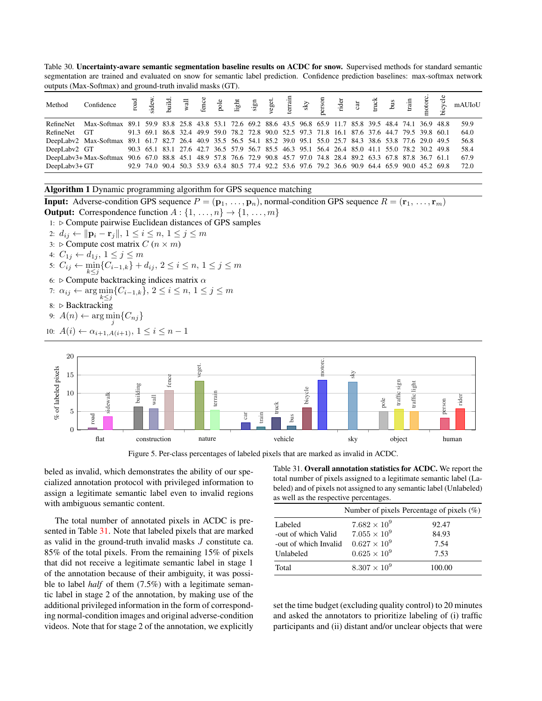<span id="page-7-0"></span>Table 30. Uncertainty-aware semantic segmentation baseline results on ACDC for snow. Supervised methods for standard semantic segmentation are trained and evaluated on snow for semantic label prediction. Confidence prediction baselines: max-softmax network outputs (Max-Softmax) and ground-truth invalid masks (GT).

| Method        |                                                                                                                       |  |                                                                                                |  |  |  |  |  |  |  |      |
|---------------|-----------------------------------------------------------------------------------------------------------------------|--|------------------------------------------------------------------------------------------------|--|--|--|--|--|--|--|------|
| RefineNet     | Max-Softmax 89.1 59.9 83.8 25.8 43.8 53.1 72.6 69.2 88.6 43.5 96.8 65.9 11.7 85.8 39.5 48.4 74.1 36.9 48.8            |  |                                                                                                |  |  |  |  |  |  |  | 59.9 |
| RefineNet GT  |                                                                                                                       |  | 91.3 69.1 86.8 32.4 49.9 59.0 78.2 72.8 90.0 52.5 97.3 71.8 16.1 87.6 37.6 44.7 79.5 39.8 60.1 |  |  |  |  |  |  |  | 64.0 |
|               | DeepLabv2 Max-Softmax 89.1 61.7 82.7 26.4 40.9 35.5 56.5 54.1 85.2 39.0 95.1 55.0 25.7 84.3 38.6 53.8 77.6 29.0 49.5  |  |                                                                                                |  |  |  |  |  |  |  | 56.8 |
| DeepLabv2 GT  |                                                                                                                       |  | 90.3 65.1 83.1 27.6 42.7 36.5 57.9 56.7 85.5 46.3 95.1 56.4 26.4 85.0 41.1 55.0 78.2 30.2 49.8 |  |  |  |  |  |  |  | 58.4 |
|               | DeepLaby3+ Max-Softmax 90.6 67.0 88.8 45.1 48.9 57.8 76.6 72.9 90.8 45.7 97.0 74.8 28.4 89.2 63.3 67.8 87.8 36.7 61.1 |  |                                                                                                |  |  |  |  |  |  |  | 67.9 |
| DeepLabv3+ GT |                                                                                                                       |  | 92.9 74.0 90.4 50.3 53.9 63.4 80.5 77.4 92.2 53.6 97.6 79.2 36.6 90.9 64.4 65.9 90.0 45.2 69.8 |  |  |  |  |  |  |  | 72.0 |

<span id="page-7-1"></span>Algorithm 1 Dynamic programming algorithm for GPS sequence matching

**Input:** Adverse-condition GPS sequence  $P = (\mathbf{p}_1, \ldots, \mathbf{p}_n)$ , normal-condition GPS sequence  $R = (\mathbf{r}_1, \ldots, \mathbf{r}_m)$ **Output:** Correspondence function  $A: \{1, \ldots, n\} \rightarrow \{1, \ldots, m\}$ 

1:  $\triangleright$  Compute pairwise Euclidean distances of GPS samples

- 2:  $d_{ij}$  ←  $||\mathbf{p}_i \mathbf{r}_j||$ ,  $1 \le i \le n$ ,  $1 \le j \le m$
- 3:  $\triangleright$  Compute cost matrix  $C$   $(n \times m)$

4:  $C_{1j} \leftarrow d_{1j}, 1 \leq j \leq m$ 

- 5:  $C_{ij}$  ←  $\min_{k \leq j} \{C_{i-1,k}\} + d_{ij}, 2 \leq i \leq n, 1 \leq j \leq m$
- 6:  $\triangleright$  Compute backtracking indices matrix  $\alpha$
- 7:  $\alpha_{ij} \leftarrow \arg\min_{k \leq j} \{C_{i-1,k}\}, 2 \leq i \leq n, 1 \leq j \leq m$
- 8: ⊳ Backtracking
- 9:  $A(n) \leftarrow \arg\min_j \{C_{nj}\}$

10: 
$$
A(i) \leftarrow \alpha_{i+1, A(i+1)}, 1 \leq i \leq n-1
$$



<span id="page-7-2"></span>Figure 5. Per-class percentages of labeled pixels that are marked as invalid in ACDC.

beled as invalid, which demonstrates the ability of our specialized annotation protocol with privileged information to assign a legitimate semantic label even to invalid regions with ambiguous semantic content.

The total number of annotated pixels in ACDC is presented in Table [31.](#page-7-3) Note that labeled pixels that are marked as valid in the ground-truth invalid masks J constitute ca. 85% of the total pixels. From the remaining 15% of pixels that did not receive a legitimate semantic label in stage 1 of the annotation because of their ambiguity, it was possible to label *half* of them (7.5%) with a legitimate semantic label in stage 2 of the annotation, by making use of the additional privileged information in the form of corresponding normal-condition images and original adverse-condition videos. Note that for stage 2 of the annotation, we explicitly <span id="page-7-3"></span>Table 31. Overall annotation statistics for ACDC. We report the total number of pixels assigned to a legitimate semantic label (Labeled) and of pixels not assigned to any semantic label (Unlabeled) as well as the respective percentages.

|                       |                       | Number of pixels Percentage of pixels $(\%)$ |
|-----------------------|-----------------------|----------------------------------------------|
| Labeled               | $7.682 \times 10^{9}$ | 92.47                                        |
| -out of which Valid   | $7.055 \times 10^{9}$ | 84.93                                        |
| -out of which Invalid | $0.627 \times 10^{9}$ | 7.54                                         |
| Unlabeled             | $0.625 \times 10^{9}$ | 7.53                                         |
| Total                 | $8.307 \times 10^{9}$ | 100.00                                       |

set the time budget (excluding quality control) to 20 minutes and asked the annotators to prioritize labeling of (i) traffic participants and (ii) distant and/or unclear objects that were